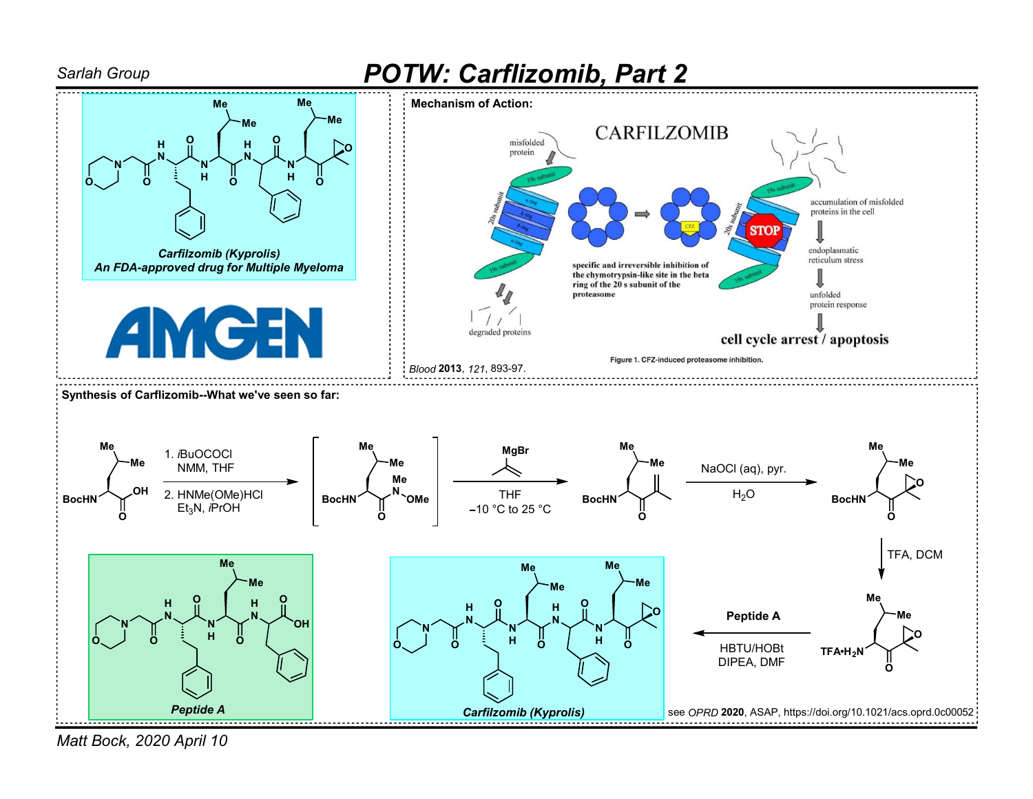

Matt Bock, 2020 April 10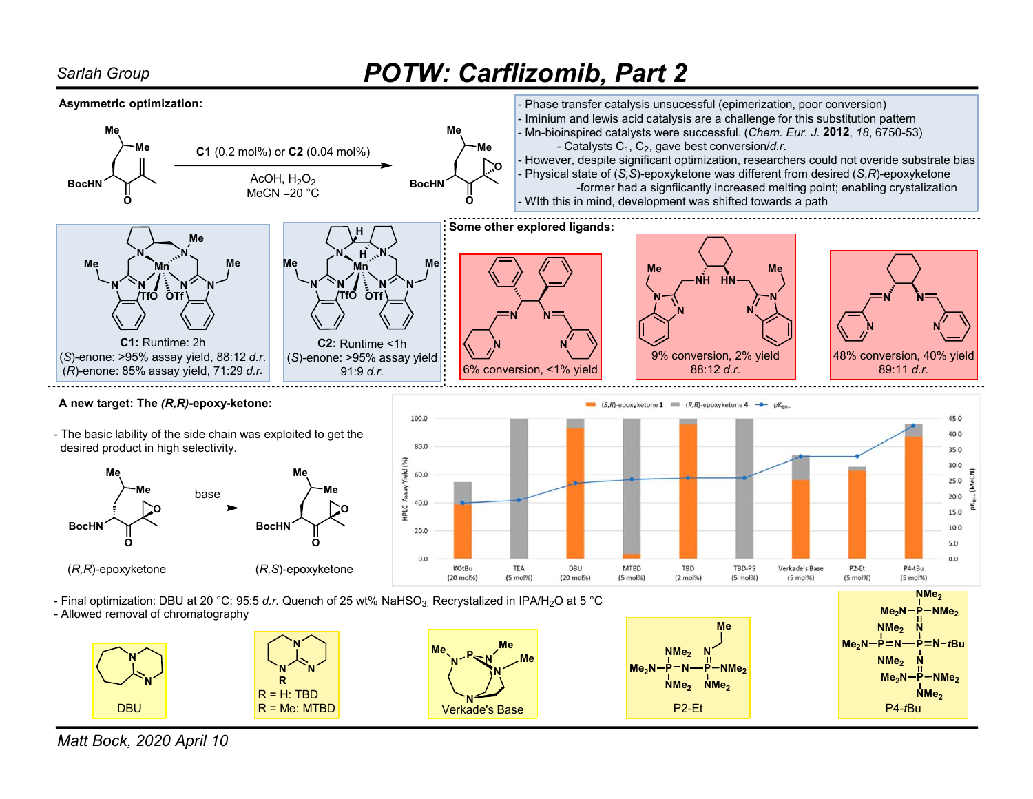## Sarlah Group **POTW: Carflizomib, Part 2**



Matt Bock, 2020 April 10